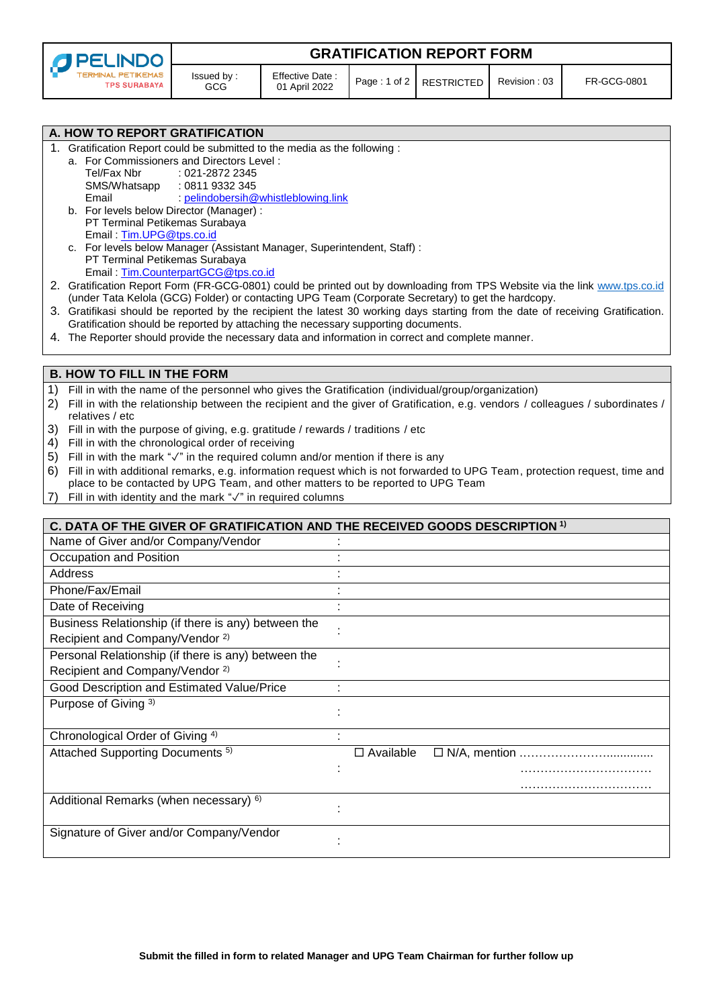| <b>O</b> PELINDO          |
|---------------------------|
| <b>TERMINAL PETIKEMAS</b> |
| <b>TPS SURABAYA</b>       |

Signature of Giver and/or Company/Vendor

**GRATIFICATION REPORT FORM**

|                                                            | A. HOW TO REPORT GRATIFICATION                                                                                                                                                                                                   |                                                                                                                                  |  |
|------------------------------------------------------------|----------------------------------------------------------------------------------------------------------------------------------------------------------------------------------------------------------------------------------|----------------------------------------------------------------------------------------------------------------------------------|--|
|                                                            | 1. Gratification Report could be submitted to the media as the following :<br>a. For Commissioners and Directors Level:                                                                                                          |                                                                                                                                  |  |
|                                                            | Tel/Fax Nbr<br>: 021-2872 2345                                                                                                                                                                                                   |                                                                                                                                  |  |
|                                                            | SMS/Whatsapp<br>: 0811 9332 345                                                                                                                                                                                                  |                                                                                                                                  |  |
|                                                            | : pelindobersih@whistleblowing.link<br>Email                                                                                                                                                                                     |                                                                                                                                  |  |
|                                                            | b. For levels below Director (Manager) :                                                                                                                                                                                         |                                                                                                                                  |  |
|                                                            | PT Terminal Petikemas Surabaya                                                                                                                                                                                                   |                                                                                                                                  |  |
|                                                            | Email: Tim.UPG@tps.co.id<br>c. For levels below Manager (Assistant Manager, Superintendent, Staff) :                                                                                                                             |                                                                                                                                  |  |
|                                                            | PT Terminal Petikemas Surabaya                                                                                                                                                                                                   |                                                                                                                                  |  |
|                                                            | Email: Tim.CounterpartGCG@tps.co.id                                                                                                                                                                                              |                                                                                                                                  |  |
|                                                            | 2. Gratification Report Form (FR-GCG-0801) could be printed out by downloading from TPS Website via the link www.tps.co.id<br>(under Tata Kelola (GCG) Folder) or contacting UPG Team (Corporate Secretary) to get the hardcopy. |                                                                                                                                  |  |
|                                                            |                                                                                                                                                                                                                                  | 3. Gratifikasi should be reported by the recipient the latest 30 working days starting from the date of receiving Gratification. |  |
|                                                            | Gratification should be reported by attaching the necessary supporting documents.                                                                                                                                                |                                                                                                                                  |  |
|                                                            | 4. The Reporter should provide the necessary data and information in correct and complete manner.                                                                                                                                |                                                                                                                                  |  |
|                                                            | <b>B. HOW TO FILL IN THE FORM</b>                                                                                                                                                                                                |                                                                                                                                  |  |
| 1)                                                         | Fill in with the name of the personnel who gives the Gratification (individual/group/organization)                                                                                                                               |                                                                                                                                  |  |
| 2)                                                         |                                                                                                                                                                                                                                  | Fill in with the relationship between the recipient and the giver of Gratification, e.g. vendors / colleagues / subordinates /   |  |
|                                                            | relatives / etc                                                                                                                                                                                                                  |                                                                                                                                  |  |
| 3)                                                         | Fill in with the purpose of giving, e.g. gratitude / rewards / traditions / etc                                                                                                                                                  |                                                                                                                                  |  |
| 4)                                                         | Fill in with the chronological order of receiving                                                                                                                                                                                |                                                                                                                                  |  |
| 5)                                                         | Fill in with the mark " $\sqrt{ }$ " in the required column and/or mention if there is any                                                                                                                                       |                                                                                                                                  |  |
| 6)                                                         | Fill in with additional remarks, e.g. information request which is not forwarded to UPG Team, protection request, time and<br>place to be contacted by UPG Team, and other matters to be reported to UPG Team                    |                                                                                                                                  |  |
| 7)                                                         | Fill in with identity and the mark "√" in required columns                                                                                                                                                                       |                                                                                                                                  |  |
|                                                            |                                                                                                                                                                                                                                  |                                                                                                                                  |  |
|                                                            | C. DATA OF THE GIVER OF GRATIFICATION AND THE RECEIVED GOODS DESCRIPTION <sup>1)</sup>                                                                                                                                           |                                                                                                                                  |  |
|                                                            | Name of Giver and/or Company/Vendor                                                                                                                                                                                              |                                                                                                                                  |  |
|                                                            | Occupation and Position                                                                                                                                                                                                          |                                                                                                                                  |  |
|                                                            | Address                                                                                                                                                                                                                          |                                                                                                                                  |  |
|                                                            | Phone/Fax/Email                                                                                                                                                                                                                  |                                                                                                                                  |  |
|                                                            | Date of Receiving                                                                                                                                                                                                                |                                                                                                                                  |  |
|                                                            | Business Relationship (if there is any) between the                                                                                                                                                                              |                                                                                                                                  |  |
| Recipient and Company/Vendor <sup>2)</sup>                 |                                                                                                                                                                                                                                  |                                                                                                                                  |  |
| Personal Relationship (if there is any) between the        |                                                                                                                                                                                                                                  |                                                                                                                                  |  |
| Recipient and Company/Vendor <sup>2)</sup>                 |                                                                                                                                                                                                                                  |                                                                                                                                  |  |
| Good Description and Estimated Value/Price                 |                                                                                                                                                                                                                                  |                                                                                                                                  |  |
|                                                            | Purpose of Giving 3)                                                                                                                                                                                                             |                                                                                                                                  |  |
|                                                            |                                                                                                                                                                                                                                  |                                                                                                                                  |  |
| Chronological Order of Giving 4)                           |                                                                                                                                                                                                                                  | $\blacksquare$                                                                                                                   |  |
| Attached Supporting Documents <sup>5)</sup><br>□ Available |                                                                                                                                                                                                                                  |                                                                                                                                  |  |
|                                                            |                                                                                                                                                                                                                                  |                                                                                                                                  |  |
|                                                            |                                                                                                                                                                                                                                  |                                                                                                                                  |  |
|                                                            | Additional Remarks (when necessary) 6)                                                                                                                                                                                           |                                                                                                                                  |  |
|                                                            |                                                                                                                                                                                                                                  |                                                                                                                                  |  |

: